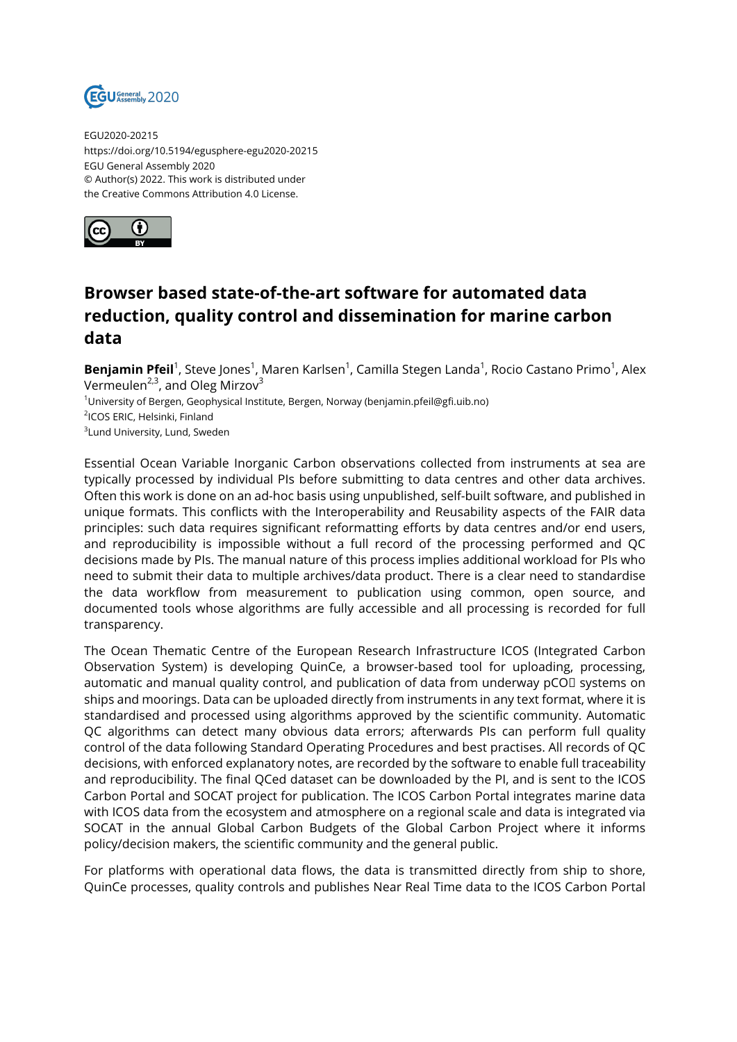

EGU2020-20215 https://doi.org/10.5194/egusphere-egu2020-20215 EGU General Assembly 2020 © Author(s) 2022. This work is distributed under the Creative Commons Attribution 4.0 License.



## **Browser based state-of-the-art software for automated data reduction, quality control and dissemination for marine carbon data**

**Benjamin Pfeil**<sup>1</sup>, Steve Jones<sup>1</sup>, Maren Karlsen<sup>1</sup>, Camilla Stegen Landa<sup>1</sup>, Rocio Castano Primo<sup>1</sup>, Alex Vermeulen<sup>2,3</sup>, and Oleg Mirzov<sup>3</sup>  $1$ University of Bergen, Geophysical Institute, Bergen, Norway (benjamin.pfeil@gfi.uib.no)

2 ICOS ERIC, Helsinki, Finland

 $^3$ Lund University, Lund, Sweden

Essential Ocean Variable Inorganic Carbon observations collected from instruments at sea are typically processed by individual PIs before submitting to data centres and other data archives. Often this work is done on an ad-hoc basis using unpublished, self-built software, and published in unique formats. This conflicts with the Interoperability and Reusability aspects of the FAIR data principles: such data requires significant reformatting efforts by data centres and/or end users, and reproducibility is impossible without a full record of the processing performed and QC decisions made by PIs. The manual nature of this process implies additional workload for PIs who need to submit their data to multiple archives/data product. There is a clear need to standardise the data workflow from measurement to publication using common, open source, and documented tools whose algorithms are fully accessible and all processing is recorded for full transparency.

The Ocean Thematic Centre of the European Research Infrastructure ICOS (Integrated Carbon Observation System) is developing QuinCe, a browser-based tool for uploading, processing, automatic and manual quality control, and publication of data from underway pCOI systems on ships and moorings. Data can be uploaded directly from instruments in any text format, where it is standardised and processed using algorithms approved by the scientific community. Automatic QC algorithms can detect many obvious data errors; afterwards PIs can perform full quality control of the data following Standard Operating Procedures and best practises. All records of QC decisions, with enforced explanatory notes, are recorded by the software to enable full traceability and reproducibility. The final QCed dataset can be downloaded by the PI, and is sent to the ICOS Carbon Portal and SOCAT project for publication. The ICOS Carbon Portal integrates marine data with ICOS data from the ecosystem and atmosphere on a regional scale and data is integrated via SOCAT in the annual Global Carbon Budgets of the Global Carbon Project where it informs policy/decision makers, the scientific community and the general public.

For platforms with operational data flows, the data is transmitted directly from ship to shore, QuinCe processes, quality controls and publishes Near Real Time data to the ICOS Carbon Portal